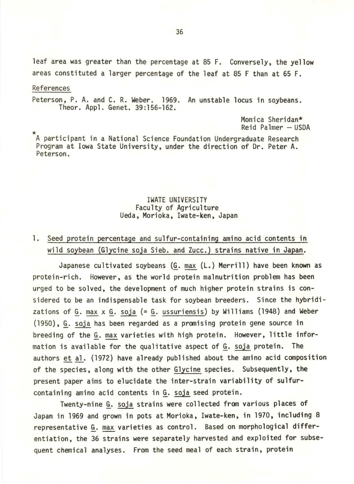leaf area was greater than the percentage at 85 F. Conversely, the yellow areas constituted a larger percentage of the leaf at 85 F than at 65 F.

## References

Peterson, P. A. and C. R. Weber. 1969. An unstable locus in soybeans. Theor. Appl. Genet. 39:156-162.

> Monica Sheridan\*  $Reid$  Palmer  $-$  USDA

\* A participant in a National Science Foundation Undergraduate Research Program at Iowa State University, under the direction of Dr. Peter A. Peterson.

## IWATE UNIVERSITY<br>Faculty of Agriculture Ueda, Morioka, Iwate-ken, Japan

## 1. Seed protein percentage and sulfur-containing amino acid contents in wild soybean (Glycine soja Sieb. and Zucc.) strains native in Japan.

Japanese cultivated soybeans (G. max (L.) Merrill) have been known as protein-rich. However, as the world protein malnutrition problem has been urged to be solved, the development of much higher protein strains is considered to be an indispensable task for soybean breeders. Since the hybridizations of G. max  $x$  G. soja (= G. ussuriensis) by Williams (1948) and Weber (1950), §\_. soja has been regarded as a promising protein gene source in breeding of the G. max varieties with high protein. However, little information is available for the qualitative aspect of G. soja protein. The authors et al. (1972) have already published about the amino acid composition of the species, along with the other Glycine species. Subsequently, the present paper aims to elucidate the inter-strain variability of sulfurcontaining amino acid contents in G. soja seed protein.

Twenty-nine G. soja strains were collected from various places of Japan in 1969 and grown in pots at Morioka, Iwate-ken, in 1970, including 8 representative G. max varieties as control. Based on morphological differentiation, the 36 strains were separately harvested and exploited for subsequent chemical analyses. From the seed meal of each strain, protein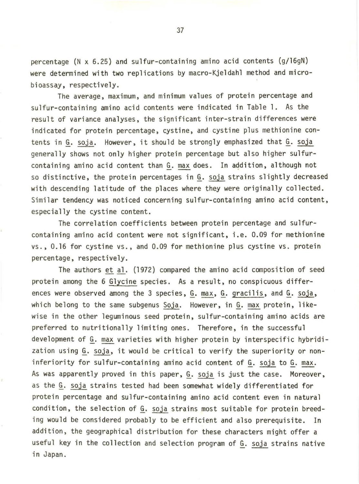percentage (N x 6.25) and sulfur-containing amino acid contents (g/16gN) were determined with two replications by macro-Kjeldahl method and microbioassay, respectively.

The average, maximum, and minimum values of protein percentage and sulfur-containing amino acid contents were indicated in Table 1. As the result of variance analyses, the significant inter-strain differences were indicated for protein percentage, cystine, and cystine plus methionine contents in G. soja. However, it should be strongly emphasized that G. soja generally shows not only higher protein percentage but also higher sulfurcontaining amino acid content than G. max does. In addition, although not so distinctive, the protein percentages in G. soja strains slightly decreased with descending latitude of the places where they were originally collected. Similar tendency was noticed concerning sulfur-containing amino acid content, especially the cystine content.

The correlation coefficients between protein percentage and sulfurcontaining amino acid content were not significant, i.e. 0.09 for methionine vs. , 0.16 for cystine vs., and 0.09 for methionine plus cystine vs. protein percentage, respectively.

The authors et al. (1972) compared the amino acid composition of seed protein among the 6 Glycine species. As a result, no conspicuous differences were observed among the 3 species, G. max, G. gracilis, and G. soja, which belong to the same subgenus Soja. However, in G. max protein, likewise in the other leguminous seed protein, sulfur-containing amino acids are preferred to nutritionally limiting ones. Therefore, in the successful development of G. max varieties with higher protein by interspecific hybridization using §\_. soja, it would be critical to verify the superiority or noninferiority for sulfur-containing amino acid content of G. soja to G. max. As was apparently proved in this paper, G. soja is just the case. Moreover, as the G. soja strains tested had been somewhat widely differentiated for protein percentage and sulfur-containing amino acid content even in natural condition, the selection of G. soja strains most suitable for protein breeding would be considered probably to be efficient and also prerequisite. In addition, the geographical distribution for these characters might offer a useful key in the collection and selection program of G. soja strains native in Japan.